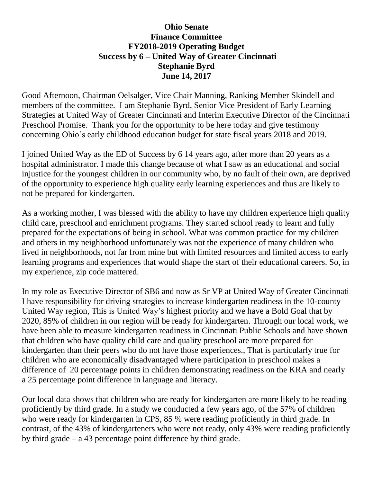## **Ohio Senate Finance Committee FY2018-2019 Operating Budget Success by 6 – United Way of Greater Cincinnati Stephanie Byrd June 14, 2017**

Good Afternoon, Chairman Oelsalger, Vice Chair Manning, Ranking Member Skindell and members of the committee. I am Stephanie Byrd, Senior Vice President of Early Learning Strategies at United Way of Greater Cincinnati and Interim Executive Director of the Cincinnati Preschool Promise. Thank you for the opportunity to be here today and give testimony concerning Ohio's early childhood education budget for state fiscal years 2018 and 2019.

I joined United Way as the ED of Success by 6 14 years ago, after more than 20 years as a hospital administrator. I made this change because of what I saw as an educational and social injustice for the youngest children in our community who, by no fault of their own, are deprived of the opportunity to experience high quality early learning experiences and thus are likely to not be prepared for kindergarten.

As a working mother, I was blessed with the ability to have my children experience high quality child care, preschool and enrichment programs. They started school ready to learn and fully prepared for the expectations of being in school. What was common practice for my children and others in my neighborhood unfortunately was not the experience of many children who lived in neighborhoods, not far from mine but with limited resources and limited access to early learning programs and experiences that would shape the start of their educational careers. So, in my experience, zip code mattered.

In my role as Executive Director of SB6 and now as Sr VP at United Way of Greater Cincinnati I have responsibility for driving strategies to increase kindergarten readiness in the 10-county United Way region, This is United Way's highest priority and we have a Bold Goal that by 2020, 85% of children in our region will be ready for kindergarten. Through our local work, we have been able to measure kindergarten readiness in Cincinnati Public Schools and have shown that children who have quality child care and quality preschool are more prepared for kindergarten than their peers who do not have those experiences., That is particularly true for children who are economically disadvantaged where participation in preschool makes a difference of 20 percentage points in children demonstrating readiness on the KRA and nearly a 25 percentage point difference in language and literacy.

Our local data shows that children who are ready for kindergarten are more likely to be reading proficiently by third grade. In a study we conducted a few years ago, of the 57% of children who were ready for kindergarten in CPS, 85 % were reading proficiently in third grade. In contrast, of the 43% of kindergarteners who were not ready, only 43% were reading proficiently by third grade – a 43 percentage point difference by third grade.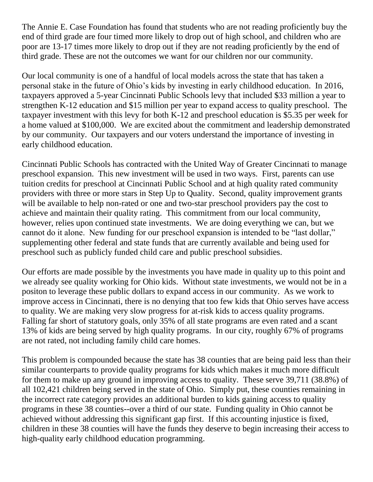The Annie E. Case Foundation has found that students who are not reading proficiently buy the end of third grade are four timed more likely to drop out of high school, and children who are poor are 13-17 times more likely to drop out if they are not reading proficiently by the end of third grade. These are not the outcomes we want for our children nor our community.

Our local community is one of a handful of local models across the state that has taken a personal stake in the future of Ohio's kids by investing in early childhood education. In 2016, taxpayers approved a 5-year Cincinnati Public Schools levy that included \$33 million a year to strengthen K-12 education and \$15 million per year to expand access to quality preschool. The taxpayer investment with this levy for both K-12 and preschool education is \$5.35 per week for a home valued at \$100,000. We are excited about the commitment and leadership demonstrated by our community. Our taxpayers and our voters understand the importance of investing in early childhood education.

Cincinnati Public Schools has contracted with the United Way of Greater Cincinnati to manage preschool expansion. This new investment will be used in two ways. First, parents can use tuition credits for preschool at Cincinnati Public School and at high quality rated community providers with three or more stars in Step Up to Quality. Second, quality improvement grants will be available to help non-rated or one and two-star preschool providers pay the cost to achieve and maintain their quality rating. This commitment from our local community, however, relies upon continued state investments. We are doing everything we can, but we cannot do it alone. New funding for our preschool expansion is intended to be "last dollar," supplementing other federal and state funds that are currently available and being used for preschool such as publicly funded child care and public preschool subsidies.

Our efforts are made possible by the investments you have made in quality up to this point and we already see quality working for Ohio kids. Without state investments, we would not be in a positon to leverage these public dollars to expand access in our community. As we work to improve access in Cincinnati, there is no denying that too few kids that Ohio serves have access to quality. We are making very slow progress for at-risk kids to access quality programs. Falling far short of statutory goals, only 35% of all state programs are even rated and a scant 13% of kids are being served by high quality programs. In our city, roughly 67% of programs are not rated, not including family child care homes.

This problem is compounded because the state has 38 counties that are being paid less than their similar counterparts to provide quality programs for kids which makes it much more difficult for them to make up any ground in improving access to quality. These serve 39,711 (38.8%) of all 102,421 children being served in the state of Ohio. Simply put, these counties remaining in the incorrect rate category provides an additional burden to kids gaining access to quality programs in these 38 counties--over a third of our state. Funding quality in Ohio cannot be achieved without addressing this significant gap first. If this accounting injustice is fixed, children in these 38 counties will have the funds they deserve to begin increasing their access to high-quality early childhood education programming.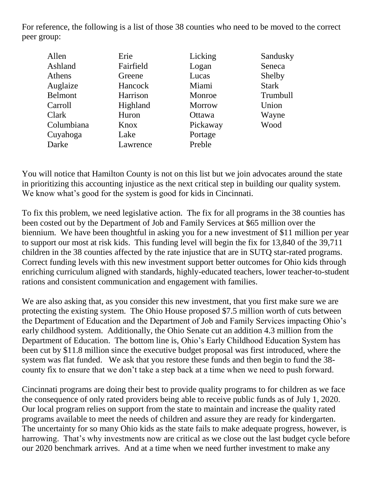For reference, the following is a list of those 38 counties who need to be moved to the correct peer group:

| Allen         | Erie      | Licking       | Sandusky     |
|---------------|-----------|---------------|--------------|
| Ashland       | Fairfield | Logan         | Seneca       |
| <b>Athens</b> | Greene    | Lucas         | Shelby       |
| Auglaize      | Hancock   | Miami         | <b>Stark</b> |
| Belmont       | Harrison  | Monroe        | Trumbull     |
| Carroll       | Highland  | <b>Morrow</b> | Union        |
| Clark         | Huron     | Ottawa        | Wayne        |
| Columbiana    | Knox      | Pickaway      | Wood         |
| Cuyahoga      | Lake      | Portage       |              |
| Darke         | Lawrence  | Preble        |              |

You will notice that Hamilton County is not on this list but we join advocates around the state in prioritizing this accounting injustice as the next critical step in building our quality system. We know what's good for the system is good for kids in Cincinnati.

To fix this problem, we need legislative action. The fix for all programs in the 38 counties has been costed out by the Department of Job and Family Services at \$65 million over the biennium. We have been thoughtful in asking you for a new investment of \$11 million per year to support our most at risk kids. This funding level will begin the fix for 13,840 of the 39,711 children in the 38 counties affected by the rate injustice that are in SUTQ star-rated programs. Correct funding levels with this new investment support better outcomes for Ohio kids through enriching curriculum aligned with standards, highly-educated teachers, lower teacher-to-student rations and consistent communication and engagement with families.

We are also asking that, as you consider this new investment, that you first make sure we are protecting the existing system. The Ohio House proposed \$7.5 million worth of cuts between the Department of Education and the Department of Job and Family Services impacting Ohio's early childhood system. Additionally, the Ohio Senate cut an addition 4.3 million from the Department of Education. The bottom line is, Ohio's Early Childhood Education System has been cut by \$11.8 million since the executive budget proposal was first introduced, where the system was flat funded.We ask that you restore these funds and then begin to fund the 38 county fix to ensure that we don't take a step back at a time when we need to push forward.

Cincinnati programs are doing their best to provide quality programs to for children as we face the consequence of only rated providers being able to receive public funds as of July 1, 2020. Our local program relies on support from the state to maintain and increase the quality rated programs available to meet the needs of children and assure they are ready for kindergarten. The uncertainty for so many Ohio kids as the state fails to make adequate progress, however, is harrowing. That's why investments now are critical as we close out the last budget cycle before our 2020 benchmark arrives. And at a time when we need further investment to make any